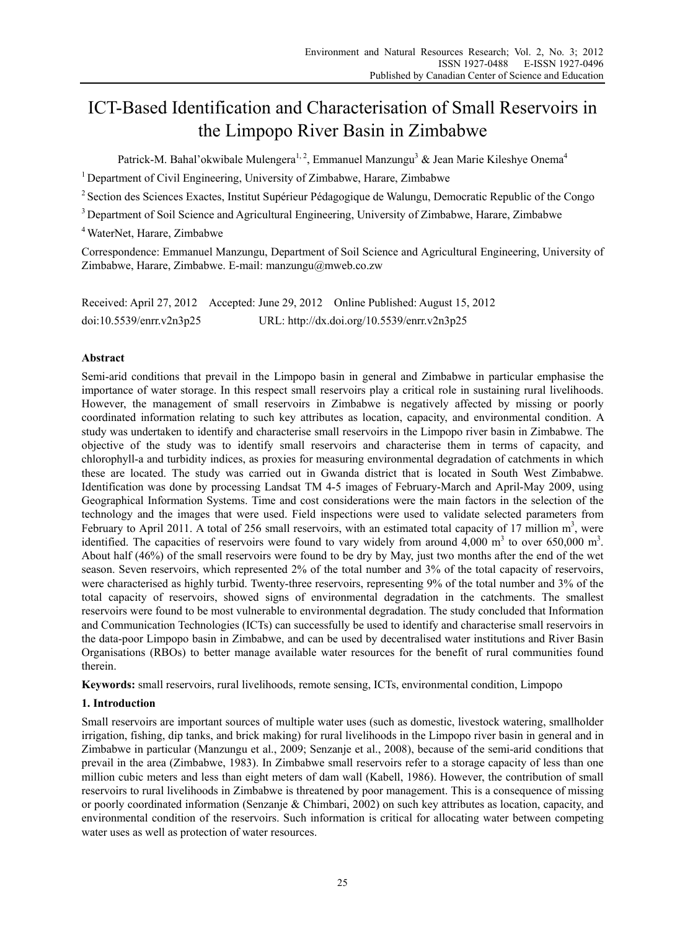# ICT-Based Identification and Characterisation of Small Reservoirs in the Limpopo River Basin in Zimbabwe

Patrick-M. Bahal'okwibale Mulengera<sup>1, 2</sup>, Emmanuel Manzungu<sup>3</sup> & Jean Marie Kileshye Onema<sup>4</sup>

<sup>1</sup> Department of Civil Engineering, University of Zimbabwe, Harare, Zimbabwe

<sup>2</sup> Section des Sciences Exactes, Institut Supérieur Pédagogique de Walungu, Democratic Republic of the Congo

<sup>3</sup> Department of Soil Science and Agricultural Engineering, University of Zimbabwe, Harare, Zimbabwe

4 WaterNet, Harare, Zimbabwe

Correspondence: Emmanuel Manzungu, Department of Soil Science and Agricultural Engineering, University of Zimbabwe, Harare, Zimbabwe. E-mail: manzungu@mweb.co.zw

Received: April 27, 2012 Accepted: June 29, 2012 Online Published: August 15, 2012 doi:10.5539/enrr.v2n3p25 URL: http://dx.doi.org/10.5539/enrr.v2n3p25

# **Abstract**

Semi-arid conditions that prevail in the Limpopo basin in general and Zimbabwe in particular emphasise the importance of water storage. In this respect small reservoirs play a critical role in sustaining rural livelihoods. However, the management of small reservoirs in Zimbabwe is negatively affected by missing or poorly coordinated information relating to such key attributes as location, capacity, and environmental condition. A study was undertaken to identify and characterise small reservoirs in the Limpopo river basin in Zimbabwe. The objective of the study was to identify small reservoirs and characterise them in terms of capacity, and chlorophyll-a and turbidity indices, as proxies for measuring environmental degradation of catchments in which these are located. The study was carried out in Gwanda district that is located in South West Zimbabwe. Identification was done by processing Landsat TM 4-5 images of February-March and April-May 2009, using Geographical Information Systems. Time and cost considerations were the main factors in the selection of the technology and the images that were used. Field inspections were used to validate selected parameters from February to April 2011. A total of 256 small reservoirs, with an estimated total capacity of 17 million  $m^3$ , were identified. The capacities of reservoirs were found to vary widely from around  $4,000 \text{ m}^3$  to over 650,000 m<sup>3</sup>. About half (46%) of the small reservoirs were found to be dry by May, just two months after the end of the wet season. Seven reservoirs, which represented 2% of the total number and 3% of the total capacity of reservoirs, were characterised as highly turbid. Twenty-three reservoirs, representing 9% of the total number and 3% of the total capacity of reservoirs, showed signs of environmental degradation in the catchments. The smallest reservoirs were found to be most vulnerable to environmental degradation. The study concluded that Information and Communication Technologies (ICTs) can successfully be used to identify and characterise small reservoirs in the data-poor Limpopo basin in Zimbabwe, and can be used by decentralised water institutions and River Basin Organisations (RBOs) to better manage available water resources for the benefit of rural communities found therein.

**Keywords:** small reservoirs, rural livelihoods, remote sensing, ICTs, environmental condition, Limpopo

# **1. Introduction**

Small reservoirs are important sources of multiple water uses (such as domestic, livestock watering, smallholder irrigation, fishing, dip tanks, and brick making) for rural livelihoods in the Limpopo river basin in general and in Zimbabwe in particular (Manzungu et al., 2009; Senzanje et al., 2008), because of the semi-arid conditions that prevail in the area (Zimbabwe, 1983). In Zimbabwe small reservoirs refer to a storage capacity of less than one million cubic meters and less than eight meters of dam wall (Kabell, 1986). However, the contribution of small reservoirs to rural livelihoods in Zimbabwe is threatened by poor management. This is a consequence of missing or poorly coordinated information (Senzanje & Chimbari, 2002) on such key attributes as location, capacity, and environmental condition of the reservoirs. Such information is critical for allocating water between competing water uses as well as protection of water resources.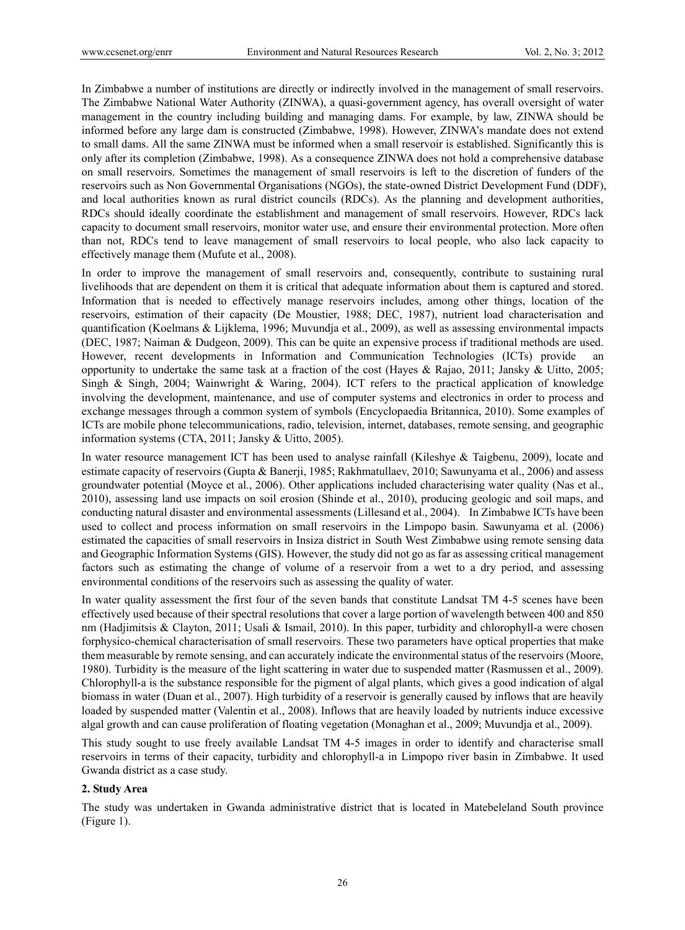In Zimbabwe a number of institutions are directly or indirectly involved in the management of small reservoirs. The Zimbabwe National Water Authority (ZINWA), a quasi-government agency, has overall oversight of water management in the country including building and managing dams. For example, by law, ZINWA should be informed before any large dam is constructed (Zimbabwe, 1998). However, ZINWA's mandate does not extend to small dams. All the same ZINWA must be informed when a small reservoir is established. Significantly this is only after its completion (Zimbabwe, 1998). As a consequence ZINWA does not hold a comprehensive database on small reservoirs. Sometimes the management of small reservoirs is left to the discretion of funders of the reservoirs such as Non Governmental Organisations (NGOs), the state-owned District Development Fund (DDF), and local authorities known as rural district councils (RDCs). As the planning and development authorities, RDCs should ideally coordinate the establishment and management of small reservoirs. However, RDCs lack capacity to document small reservoirs, monitor water use, and ensure their environmental protection. More often than not, RDCs tend to leave management of small reservoirs to local people, who also lack capacity to effectively manage them (Mufute et al., 2008).

In order to improve the management of small reservoirs and, consequently, contribute to sustaining rural livelihoods that are dependent on them it is critical that adequate information about them is captured and stored. Information that is needed to effectively manage reservoirs includes, among other things, location of the reservoirs, estimation of their capacity (De Moustier, 1988; DEC, 1987), nutrient load characterisation and quantification (Koelmans & Lijklema, 1996; Muvundja et al., 2009), as well as assessing environmental impacts (DEC, 1987; Naiman & Dudgeon, 2009). This can be quite an expensive process if traditional methods are used. However, recent developments in Information and Communication Technologies (ICTs) provide an opportunity to undertake the same task at a fraction of the cost (Hayes & Rajao, 2011; Jansky & Uitto, 2005; Singh & Singh, 2004; Wainwright & Waring, 2004). ICT refers to the practical application of knowledge involving the development, maintenance, and use of computer systems and electronics in order to process and exchange messages through a common system of symbols (Encyclopaedia Britannica, 2010). Some examples of ICTs are mobile phone telecommunications, radio, television, internet, databases, remote sensing, and geographic information systems (CTA, 2011; Jansky & Uitto, 2005).

In water resource management ICT has been used to analyse rainfall (Kileshye & Taigbenu, 2009), locate and estimate capacity of reservoirs (Gupta & Banerji, 1985; Rakhmatullaev, 2010; Sawunyama et al., 2006) and assess groundwater potential (Moyce et al., 2006). Other applications included characterising water quality (Nas et al., 2010), assessing land use impacts on soil erosion (Shinde et al., 2010), producing geologic and soil maps, and conducting natural disaster and environmental assessments (Lillesand et al., 2004). In Zimbabwe ICTs have been used to collect and process information on small reservoirs in the Limpopo basin. Sawunyama et al. (2006) estimated the capacities of small reservoirs in Insiza district in South West Zimbabwe using remote sensing data and Geographic Information Systems (GIS). However, the study did not go as far as assessing critical management factors such as estimating the change of volume of a reservoir from a wet to a dry period, and assessing environmental conditions of the reservoirs such as assessing the quality of water.

In water quality assessment the first four of the seven bands that constitute Landsat TM 4-5 scenes have been effectively used because of their spectral resolutions that cover a large portion of wavelength between 400 and 850 nm (Hadjimitsis & Clayton, 2011; Usali & Ismail, 2010). In this paper, turbidity and chlorophyll-a were chosen forphysico-chemical characterisation of small reservoirs. These two parameters have optical properties that make them measurable by remote sensing, and can accurately indicate the environmental status of the reservoirs (Moore, 1980). Turbidity is the measure of the light scattering in water due to suspended matter (Rasmussen et al., 2009). Chlorophyll-a is the substance responsible for the pigment of algal plants, which gives a good indication of algal biomass in water (Duan et al., 2007). High turbidity of a reservoir is generally caused by inflows that are heavily loaded by suspended matter (Valentin et al., 2008). Inflows that are heavily loaded by nutrients induce excessive algal growth and can cause proliferation of floating vegetation (Monaghan et al., 2009; Muvundja et al., 2009).

This study sought to use freely available Landsat TM 4-5 images in order to identify and characterise small reservoirs in terms of their capacity, turbidity and chlorophyll-a in Limpopo river basin in Zimbabwe. It used Gwanda district as a case study.

#### **2. Study Area**

The study was undertaken in Gwanda administrative district that is located in Matebeleland South province (Figure 1).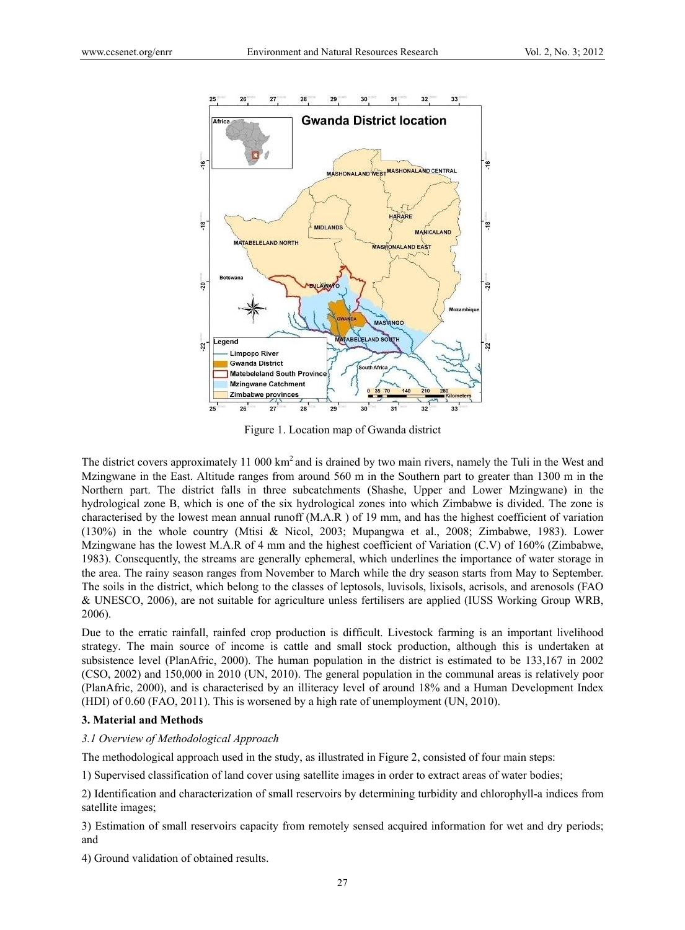

Figure 1. Location map of Gwanda district

The district covers approximately 11 000  $km^2$  and is drained by two main rivers, namely the Tuli in the West and Mzingwane in the East. Altitude ranges from around 560 m in the Southern part to greater than 1300 m in the Northern part. The district falls in three subcatchments (Shashe, Upper and Lower Mzingwane) in the hydrological zone B, which is one of the six hydrological zones into which Zimbabwe is divided. The zone is characterised by the lowest mean annual runoff (M.A.R ) of 19 mm, and has the highest coefficient of variation (130%) in the whole country (Mtisi & Nicol, 2003; Mupangwa et al., 2008; Zimbabwe, 1983). Lower Mzingwane has the lowest M.A.R of 4 mm and the highest coefficient of Variation (C.V) of 160% (Zimbabwe, 1983). Consequently, the streams are generally ephemeral, which underlines the importance of water storage in the area. The rainy season ranges from November to March while the dry season starts from May to September. The soils in the district, which belong to the classes of leptosols, luvisols, lixisols, acrisols, and arenosols (FAO & UNESCO, 2006), are not suitable for agriculture unless fertilisers are applied (IUSS Working Group WRB, 2006).

Due to the erratic rainfall, rainfed crop production is difficult. Livestock farming is an important livelihood strategy. The main source of income is cattle and small stock production, although this is undertaken at subsistence level (PlanAfric, 2000). The human population in the district is estimated to be 133,167 in 2002 (CSO, 2002) and 150,000 in 2010 (UN, 2010). The general population in the communal areas is relatively poor (PlanAfric, 2000), and is characterised by an illiteracy level of around 18% and a Human Development Index (HDI) of 0.60 (FAO, 2011). This is worsened by a high rate of unemployment (UN, 2010).

## **3. Material and Methods**

#### *3.1 Overview of Methodological Approach*

The methodological approach used in the study, as illustrated in Figure 2, consisted of four main steps:

1) Supervised classification of land cover using satellite images in order to extract areas of water bodies;

2) Identification and characterization of small reservoirs by determining turbidity and chlorophyll-a indices from satellite images;

3) Estimation of small reservoirs capacity from remotely sensed acquired information for wet and dry periods; and

4) Ground validation of obtained results.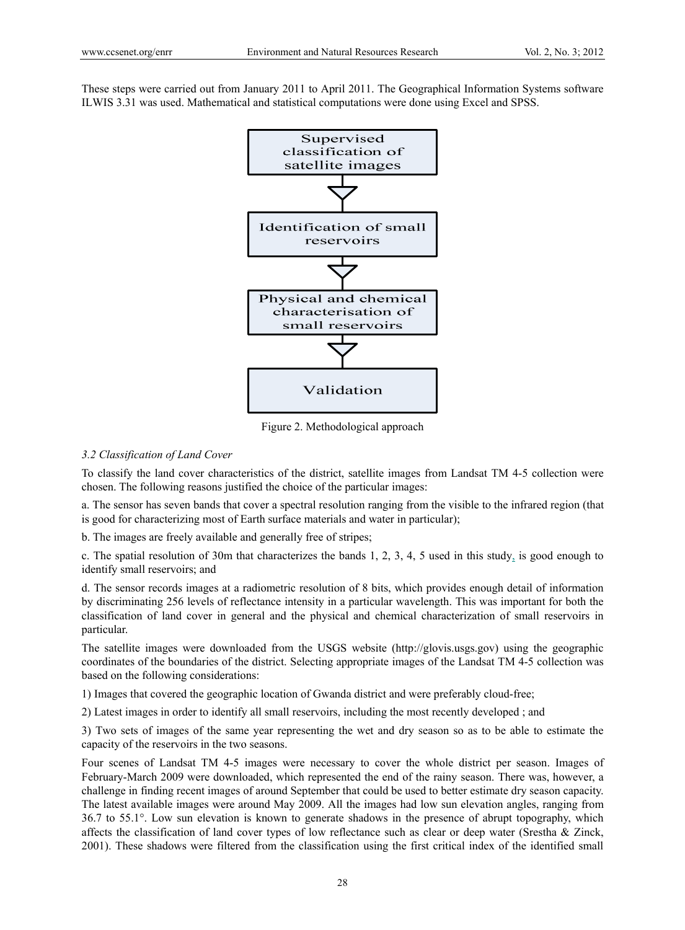These steps were carried out from January 2011 to April 2011. The Geographical Information Systems software ILWIS 3.31 was used. Mathematical and statistical computations were done using Excel and SPSS.



Figure 2. Methodological approach

# *3.2 Classification of Land Cover*

To classify the land cover characteristics of the district, satellite images from Landsat TM 4-5 collection were chosen. The following reasons justified the choice of the particular images:

a. The sensor has seven bands that cover a spectral resolution ranging from the visible to the infrared region (that is good for characterizing most of Earth surface materials and water in particular);

b. The images are freely available and generally free of stripes;

c. The spatial resolution of 30m that characterizes the bands 1, 2, 3, 4, 5 used in this study, is good enough to identify small reservoirs; and

d. The sensor records images at a radiometric resolution of 8 bits, which provides enough detail of information by discriminating 256 levels of reflectance intensity in a particular wavelength. This was important for both the classification of land cover in general and the physical and chemical characterization of small reservoirs in particular.

The satellite images were downloaded from the USGS website (http://glovis.usgs.gov) using the geographic coordinates of the boundaries of the district. Selecting appropriate images of the Landsat TM 4-5 collection was based on the following considerations:

1) Images that covered the geographic location of Gwanda district and were preferably cloud-free;

2) Latest images in order to identify all small reservoirs, including the most recently developed ; and

3) Two sets of images of the same year representing the wet and dry season so as to be able to estimate the capacity of the reservoirs in the two seasons.

Four scenes of Landsat TM 4-5 images were necessary to cover the whole district per season. Images of February-March 2009 were downloaded, which represented the end of the rainy season. There was, however, a challenge in finding recent images of around September that could be used to better estimate dry season capacity. The latest available images were around May 2009. All the images had low sun elevation angles, ranging from 36.7 to 55.1°. Low sun elevation is known to generate shadows in the presence of abrupt topography, which affects the classification of land cover types of low reflectance such as clear or deep water (Srestha & Zinck, 2001). These shadows were filtered from the classification using the first critical index of the identified small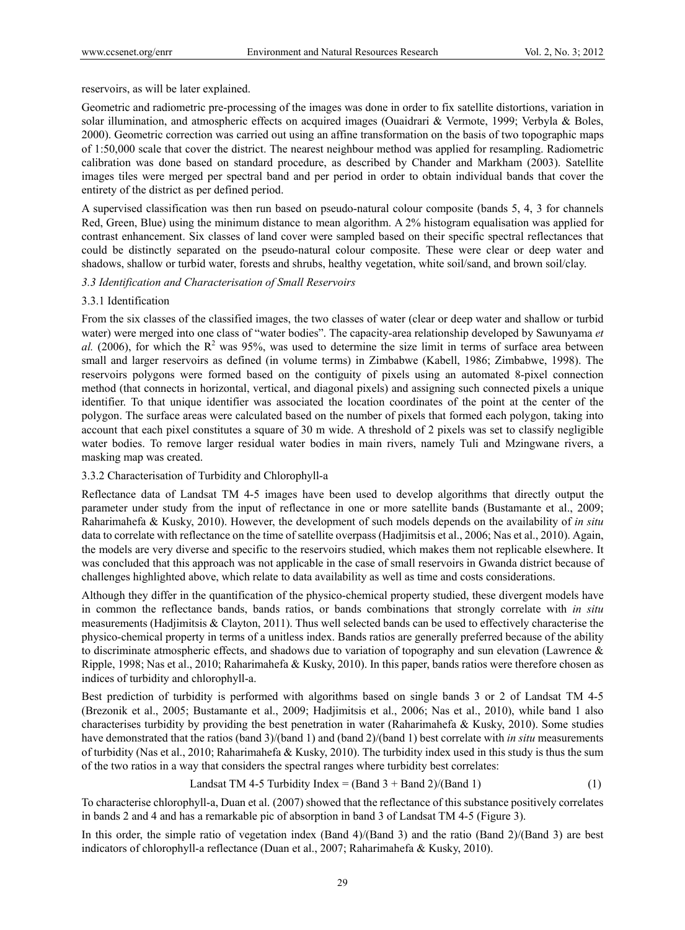reservoirs, as will be later explained.

Geometric and radiometric pre-processing of the images was done in order to fix satellite distortions, variation in solar illumination, and atmospheric effects on acquired images (Ouaidrari & Vermote, 1999; Verbyla & Boles, 2000). Geometric correction was carried out using an affine transformation on the basis of two topographic maps of 1:50,000 scale that cover the district. The nearest neighbour method was applied for resampling. Radiometric calibration was done based on standard procedure, as described by Chander and Markham (2003). Satellite images tiles were merged per spectral band and per period in order to obtain individual bands that cover the entirety of the district as per defined period.

A supervised classification was then run based on pseudo-natural colour composite (bands 5, 4, 3 for channels Red, Green, Blue) using the minimum distance to mean algorithm. A 2% histogram equalisation was applied for contrast enhancement. Six classes of land cover were sampled based on their specific spectral reflectances that could be distinctly separated on the pseudo-natural colour composite. These were clear or deep water and shadows, shallow or turbid water, forests and shrubs, healthy vegetation, white soil/sand, and brown soil/clay.

*3.3 Identification and Characterisation of Small Reservoirs* 

## 3.3.1 Identification

From the six classes of the classified images, the two classes of water (clear or deep water and shallow or turbid water) were merged into one class of "water bodies". The capacity-area relationship developed by Sawunyama *et*  al. (2006), for which the  $R^2$  was 95%, was used to determine the size limit in terms of surface area between small and larger reservoirs as defined (in volume terms) in Zimbabwe (Kabell, 1986; Zimbabwe, 1998). The reservoirs polygons were formed based on the contiguity of pixels using an automated 8-pixel connection method (that connects in horizontal, vertical, and diagonal pixels) and assigning such connected pixels a unique identifier. To that unique identifier was associated the location coordinates of the point at the center of the polygon. The surface areas were calculated based on the number of pixels that formed each polygon, taking into account that each pixel constitutes a square of 30 m wide. A threshold of 2 pixels was set to classify negligible water bodies. To remove larger residual water bodies in main rivers, namely Tuli and Mzingwane rivers, a masking map was created.

#### 3.3.2 Characterisation of Turbidity and Chlorophyll-a

Reflectance data of Landsat TM 4-5 images have been used to develop algorithms that directly output the parameter under study from the input of reflectance in one or more satellite bands (Bustamante et al., 2009; Raharimahefa & Kusky, 2010). However, the development of such models depends on the availability of *in situ* data to correlate with reflectance on the time of satellite overpass (Hadjimitsis et al., 2006; Nas et al., 2010). Again, the models are very diverse and specific to the reservoirs studied, which makes them not replicable elsewhere. It was concluded that this approach was not applicable in the case of small reservoirs in Gwanda district because of challenges highlighted above, which relate to data availability as well as time and costs considerations.

Although they differ in the quantification of the physico-chemical property studied, these divergent models have in common the reflectance bands, bands ratios, or bands combinations that strongly correlate with *in situ* measurements (Hadjimitsis & Clayton, 2011). Thus well selected bands can be used to effectively characterise the physico-chemical property in terms of a unitless index. Bands ratios are generally preferred because of the ability to discriminate atmospheric effects, and shadows due to variation of topography and sun elevation (Lawrence & Ripple, 1998; Nas et al., 2010; Raharimahefa & Kusky, 2010). In this paper, bands ratios were therefore chosen as indices of turbidity and chlorophyll-a.

Best prediction of turbidity is performed with algorithms based on single bands 3 or 2 of Landsat TM 4-5 (Brezonik et al., 2005; Bustamante et al., 2009; Hadjimitsis et al., 2006; Nas et al., 2010), while band 1 also characterises turbidity by providing the best penetration in water (Raharimahefa & Kusky, 2010). Some studies have demonstrated that the ratios (band 3)/(band 1) and (band 2)/(band 1) best correlate with *in situ* measurements of turbidity (Nas et al., 2010; Raharimahefa & Kusky, 2010). The turbidity index used in this study is thus the sum of the two ratios in a way that considers the spectral ranges where turbidity best correlates:

Landsat TM 4-5 Turbidity Index = (Band 3 + Band 2)/(Band 1) 
$$
(1)
$$

To characterise chlorophyll-a, Duan et al. (2007) showed that the reflectance of this substance positively correlates in bands 2 and 4 and has a remarkable pic of absorption in band 3 of Landsat TM 4-5 (Figure 3).

In this order, the simple ratio of vegetation index (Band 4)/(Band 3) and the ratio (Band 2)/(Band 3) are best indicators of chlorophyll-a reflectance (Duan et al., 2007; Raharimahefa & Kusky, 2010).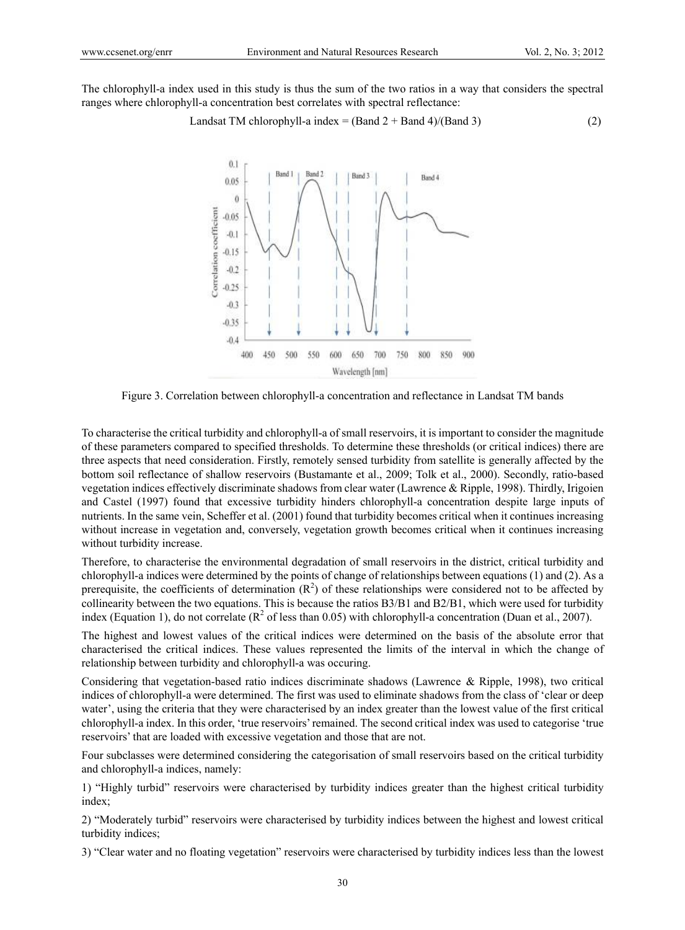The chlorophyll-a index used in this study is thus the sum of the two ratios in a way that considers the spectral ranges where chlorophyll-a concentration best correlates with spectral reflectance:

Landsat TM chlorophyll-a index = (Band 2 + Band 4)/(Band 3) 
$$
(2)
$$



Figure 3. Correlation between chlorophyll-a concentration and reflectance in Landsat TM bands

To characterise the critical turbidity and chlorophyll-a of small reservoirs, it is important to consider the magnitude of these parameters compared to specified thresholds. To determine these thresholds (or critical indices) there are three aspects that need consideration. Firstly, remotely sensed turbidity from satellite is generally affected by the bottom soil reflectance of shallow reservoirs (Bustamante et al., 2009; Tolk et al., 2000). Secondly, ratio-based vegetation indices effectively discriminate shadows from clear water (Lawrence & Ripple, 1998). Thirdly, Irigoien and Castel (1997) found that excessive turbidity hinders chlorophyll-a concentration despite large inputs of nutrients. In the same vein, Scheffer et al. (2001) found that turbidity becomes critical when it continues increasing without increase in vegetation and, conversely, vegetation growth becomes critical when it continues increasing without turbidity increase.

Therefore, to characterise the environmental degradation of small reservoirs in the district, critical turbidity and chlorophyll-a indices were determined by the points of change of relationships between equations (1) and (2). As a prerequisite, the coefficients of determination  $(R^2)$  of these relationships were considered not to be affected by collinearity between the two equations. This is because the ratios B3/B1 and B2/B1, which were used for turbidity index (Equation 1), do not correlate ( $\mathbb{R}^2$  of less than 0.05) with chlorophyll-a concentration (Duan et al., 2007).

The highest and lowest values of the critical indices were determined on the basis of the absolute error that characterised the critical indices. These values represented the limits of the interval in which the change of relationship between turbidity and chlorophyll-a was occuring.

Considering that vegetation-based ratio indices discriminate shadows (Lawrence & Ripple, 1998), two critical indices of chlorophyll-a were determined. The first was used to eliminate shadows from the class of 'clear or deep water', using the criteria that they were characterised by an index greater than the lowest value of the first critical chlorophyll-a index. In this order, 'true reservoirs' remained. The second critical index was used to categorise 'true reservoirs' that are loaded with excessive vegetation and those that are not.

Four subclasses were determined considering the categorisation of small reservoirs based on the critical turbidity and chlorophyll-a indices, namely:

1) "Highly turbid" reservoirs were characterised by turbidity indices greater than the highest critical turbidity index;

2) "Moderately turbid" reservoirs were characterised by turbidity indices between the highest and lowest critical turbidity indices;

3) "Clear water and no floating vegetation" reservoirs were characterised by turbidity indices less than the lowest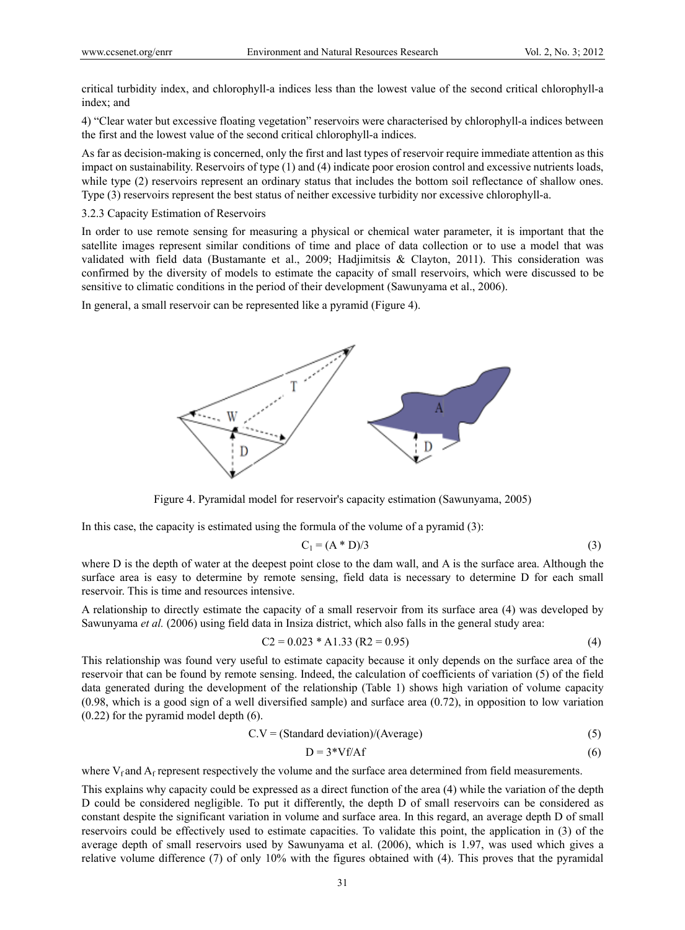critical turbidity index, and chlorophyll-a indices less than the lowest value of the second critical chlorophyll-a index; and

4) "Clear water but excessive floating vegetation" reservoirs were characterised by chlorophyll-a indices between the first and the lowest value of the second critical chlorophyll-a indices.

As far as decision-making is concerned, only the first and last types of reservoir require immediate attention as this impact on sustainability. Reservoirs of type (1) and (4) indicate poor erosion control and excessive nutrients loads, while type (2) reservoirs represent an ordinary status that includes the bottom soil reflectance of shallow ones. Type (3) reservoirs represent the best status of neither excessive turbidity nor excessive chlorophyll-a.

3.2.3 Capacity Estimation of Reservoirs

In order to use remote sensing for measuring a physical or chemical water parameter, it is important that the satellite images represent similar conditions of time and place of data collection or to use a model that was validated with field data (Bustamante et al., 2009; Hadjimitsis & Clayton, 2011). This consideration was confirmed by the diversity of models to estimate the capacity of small reservoirs, which were discussed to be sensitive to climatic conditions in the period of their development (Sawunyama et al., 2006).

In general, a small reservoir can be represented like a pyramid (Figure 4).



Figure 4. Pyramidal model for reservoir's capacity estimation (Sawunyama, 2005)

In this case, the capacity is estimated using the formula of the volume of a pyramid (3):

$$
C_1 = (A * D)/3 \tag{3}
$$

where D is the depth of water at the deepest point close to the dam wall, and A is the surface area. Although the surface area is easy to determine by remote sensing, field data is necessary to determine D for each small reservoir. This is time and resources intensive.

A relationship to directly estimate the capacity of a small reservoir from its surface area (4) was developed by Sawunyama *et al.* (2006) using field data in Insiza district, which also falls in the general study area:

$$
C2 = 0.023 * A1.33 (R2 = 0.95)
$$
 (4)

This relationship was found very useful to estimate capacity because it only depends on the surface area of the reservoir that can be found by remote sensing. Indeed, the calculation of coefficients of variation (5) of the field data generated during the development of the relationship (Table 1) shows high variation of volume capacity (0.98, which is a good sign of a well diversified sample) and surface area (0.72), in opposition to low variation (0.22) for the pyramid model depth (6).

$$
C.V = (Standard deviation)/(Average)
$$
 (5)

$$
D = 3*Vf/Af
$$
 (6)

where  $V_f$  and  $A_f$  represent respectively the volume and the surface area determined from field measurements.

This explains why capacity could be expressed as a direct function of the area (4) while the variation of the depth D could be considered negligible. To put it differently, the depth D of small reservoirs can be considered as constant despite the significant variation in volume and surface area. In this regard, an average depth D of small reservoirs could be effectively used to estimate capacities. To validate this point, the application in (3) of the average depth of small reservoirs used by Sawunyama et al. (2006), which is 1.97, was used which gives a relative volume difference (7) of only 10% with the figures obtained with (4). This proves that the pyramidal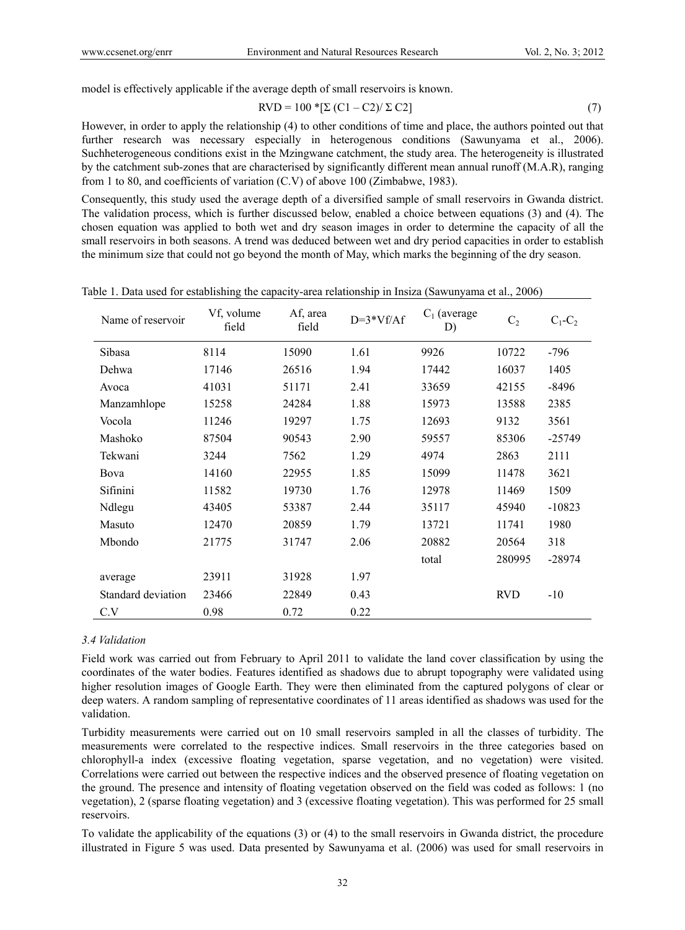model is effectively applicable if the average depth of small reservoirs is known.

$$
RVD = 100 * [\Sigma (C1 - C2)/\Sigma C2]
$$
\n(7)

However, in order to apply the relationship (4) to other conditions of time and place, the authors pointed out that further research was necessary especially in heterogenous conditions (Sawunyama et al., 2006). Suchheterogeneous conditions exist in the Mzingwane catchment, the study area. The heterogeneity is illustrated by the catchment sub-zones that are characterised by significantly different mean annual runoff (M.A.R), ranging from 1 to 80, and coefficients of variation (C.V) of above 100 (Zimbabwe, 1983).

Consequently, this study used the average depth of a diversified sample of small reservoirs in Gwanda district. The validation process, which is further discussed below, enabled a choice between equations (3) and (4). The chosen equation was applied to both wet and dry season images in order to determine the capacity of all the small reservoirs in both seasons. A trend was deduced between wet and dry period capacities in order to establish the minimum size that could not go beyond the month of May, which marks the beginning of the dry season.

| Name of reservoir  | Vf, volume<br>field | Af, area<br>field | $D=3*Vf/Af$ | $C_1$ (average<br>D) | C <sub>2</sub> | $C_1-C_2$ |
|--------------------|---------------------|-------------------|-------------|----------------------|----------------|-----------|
| Sibasa             | 8114                | 15090             | 1.61        | 9926                 | 10722          | -796      |
| Dehwa              | 17146               | 26516             | 1.94        | 17442                | 16037          | 1405      |
| Avoca              | 41031               | 51171             | 2.41        | 33659                | 42155          | -8496     |
| Manzamhlope        | 15258               | 24284             | 1.88        | 15973                | 13588          | 2385      |
| Vocola             | 11246               | 19297             | 1.75        | 12693                | 9132           | 3561      |
| Mashoko            | 87504               | 90543             | 2.90        | 59557                | 85306          | $-25749$  |
| Tekwani            | 3244                | 7562              | 1.29        | 4974                 | 2863           | 2111      |
| Bova               | 14160               | 22955             | 1.85        | 15099                | 11478          | 3621      |
| Sifinini           | 11582               | 19730             | 1.76        | 12978                | 11469          | 1509      |
| Ndlegu             | 43405               | 53387             | 2.44        | 35117                | 45940          | $-10823$  |
| Masuto             | 12470               | 20859             | 1.79        | 13721                | 11741          | 1980      |
| Mbondo             | 21775               | 31747             | 2.06        | 20882                | 20564          | 318       |
|                    |                     |                   |             | total                | 280995         | $-28974$  |
| average            | 23911               | 31928             | 1.97        |                      |                |           |
| Standard deviation | 23466               | 22849             | 0.43        |                      | <b>RVD</b>     | $-10$     |
| C.V                | 0.98                | 0.72              | 0.22        |                      |                |           |

Table 1. Data used for establishing the capacity-area relationship in Insiza (Sawunyama et al., 2006)

## *3.4 Validation*

Field work was carried out from February to April 2011 to validate the land cover classification by using the coordinates of the water bodies. Features identified as shadows due to abrupt topography were validated using higher resolution images of Google Earth. They were then eliminated from the captured polygons of clear or deep waters. A random sampling of representative coordinates of 11 areas identified as shadows was used for the validation.

Turbidity measurements were carried out on 10 small reservoirs sampled in all the classes of turbidity. The measurements were correlated to the respective indices. Small reservoirs in the three categories based on chlorophyll-a index (excessive floating vegetation, sparse vegetation, and no vegetation) were visited. Correlations were carried out between the respective indices and the observed presence of floating vegetation on the ground. The presence and intensity of floating vegetation observed on the field was coded as follows: 1 (no vegetation), 2 (sparse floating vegetation) and 3 (excessive floating vegetation). This was performed for 25 small reservoirs.

To validate the applicability of the equations (3) or (4) to the small reservoirs in Gwanda district, the procedure illustrated in Figure 5 was used. Data presented by Sawunyama et al. (2006) was used for small reservoirs in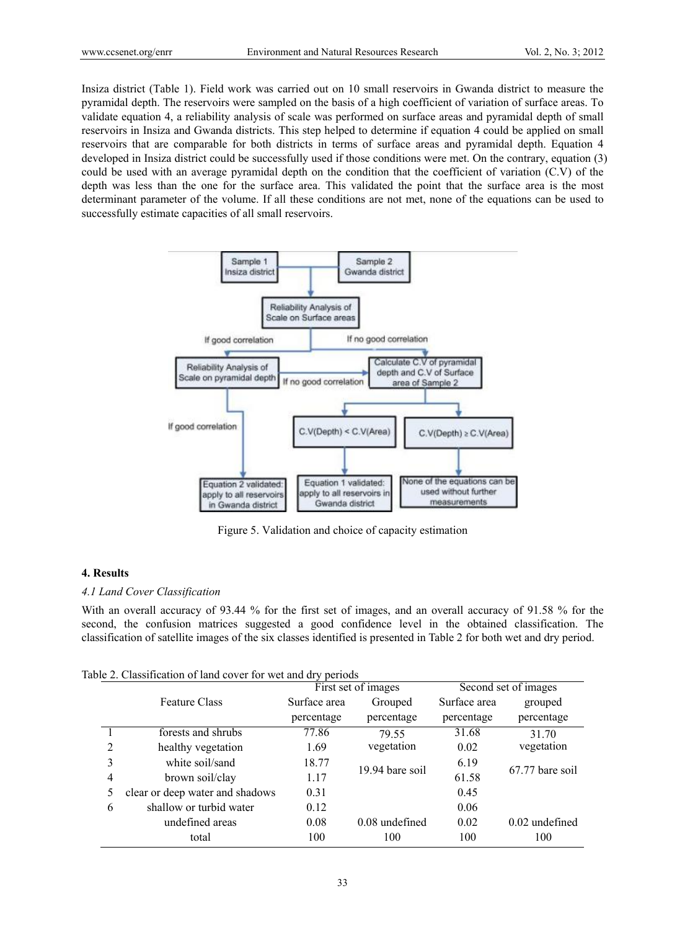Insiza district (Table 1). Field work was carried out on 10 small reservoirs in Gwanda district to measure the pyramidal depth. The reservoirs were sampled on the basis of a high coefficient of variation of surface areas. To validate equation 4, a reliability analysis of scale was performed on surface areas and pyramidal depth of small reservoirs in Insiza and Gwanda districts. This step helped to determine if equation 4 could be applied on small reservoirs that are comparable for both districts in terms of surface areas and pyramidal depth. Equation 4 developed in Insiza district could be successfully used if those conditions were met. On the contrary, equation (3) could be used with an average pyramidal depth on the condition that the coefficient of variation (C.V) of the depth was less than the one for the surface area. This validated the point that the surface area is the most determinant parameter of the volume. If all these conditions are not met, none of the equations can be used to successfully estimate capacities of all small reservoirs.



Figure 5. Validation and choice of capacity estimation

## **4. Results**

## *4.1 Land Cover Classification*

With an overall accuracy of 93.44 % for the first set of images, and an overall accuracy of 91.58 % for the second, the confusion matrices suggested a good confidence level in the obtained classification. The classification of satellite images of the six classes identified is presented in Table 2 for both wet and dry period.

|  | Table 2. Classification of land cover for wet and dry periods |  |  |  |  |
|--|---------------------------------------------------------------|--|--|--|--|
|--|---------------------------------------------------------------|--|--|--|--|

|                |                                 | First set of images |                  | Second set of images |                  |  |
|----------------|---------------------------------|---------------------|------------------|----------------------|------------------|--|
|                | <b>Feature Class</b>            | Surface area        | Grouped          | Surface area         | grouped          |  |
|                |                                 | percentage          | percentage       | percentage           | percentage       |  |
|                | forests and shrubs              | 77.86               | 79.55            | 31.68                | 31.70            |  |
| 2              | healthy vegetation              | 1.69                | vegetation       | 0.02                 | vegetation       |  |
| 3              | white soil/sand                 | 18.77               |                  | 6.19                 |                  |  |
| $\overline{4}$ | brown soil/clay                 | 1.17                | 19.94 bare soil  | 61.58                | 67.77 bare soil  |  |
| 5              | clear or deep water and shadows | 0.31                |                  | 0.45                 |                  |  |
| 6              | shallow or turbid water         | 0.12                |                  | 0.06                 |                  |  |
|                | undefined areas                 | 0.08                | $0.08$ undefined | 0.02                 | $0.02$ undefined |  |
|                | total                           | 100                 | 100              | 100                  | 100              |  |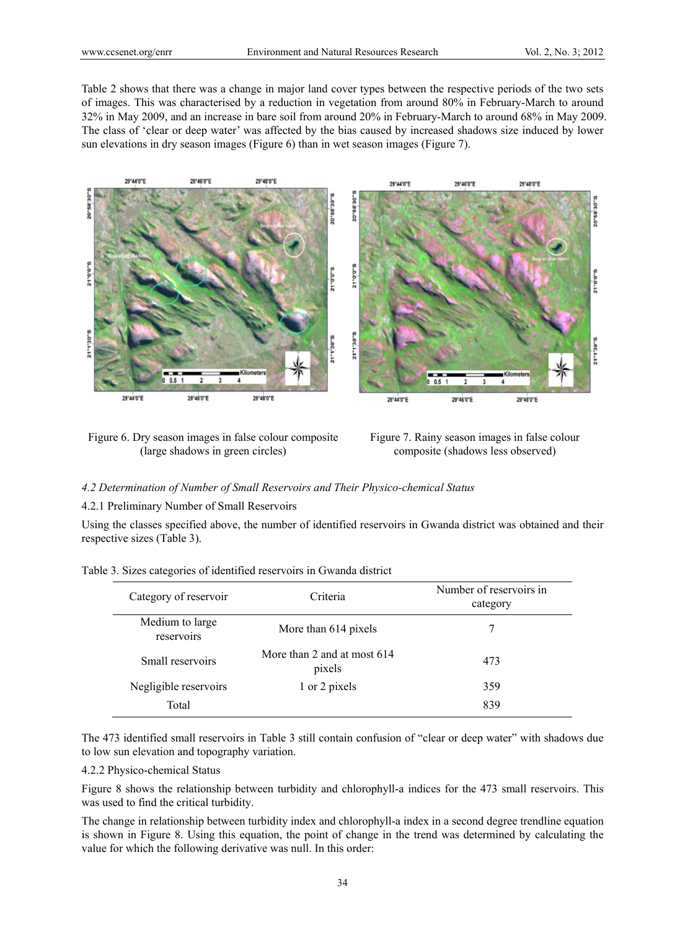Table 2 shows that there was a change in major land cover types between the respective periods of the two sets of images. This was characterised by a reduction in vegetation from around 80% in February-March to around 32% in May 2009, and an increase in bare soil from around 20% in February-March to around 68% in May 2009. The class of 'clear or deep water' was affected by the bias caused by increased shadows size induced by lower sun elevations in dry season images (Figure 6) than in wet season images (Figure 7).



Figure 6. Dry season images in false colour composite (large shadows in green circles)



## *4.2 Determination of Number of Small Reservoirs and Their Physico-chemical Status*

## 4.2.1 Preliminary Number of Small Reservoirs

Using the classes specified above, the number of identified reservoirs in Gwanda district was obtained and their respective sizes (Table 3).

| Category of reservoir         | Criteria                              | Number of reservoirs in<br>category |  |  |
|-------------------------------|---------------------------------------|-------------------------------------|--|--|
| Medium to large<br>reservoirs | More than 614 pixels                  |                                     |  |  |
| Small reservoirs              | More than 2 and at most 614<br>pixels | 473                                 |  |  |
| Negligible reservoirs         | 1 or 2 pixels                         | 359                                 |  |  |
| Total                         |                                       | 839                                 |  |  |

|  |  | Table 3. Sizes categories of identified reservoirs in Gwanda district |
|--|--|-----------------------------------------------------------------------|

The 473 identified small reservoirs in Table 3 still contain confusion of "clear or deep water" with shadows due to low sun elevation and topography variation.

4.2.2 Physico-chemical Status

Figure 8 shows the relationship between turbidity and chlorophyll-a indices for the 473 small reservoirs. This was used to find the critical turbidity.

The change in relationship between turbidity index and chlorophyll-a index in a second degree trendline equation is shown in Figure 8. Using this equation, the point of change in the trend was determined by calculating the value for which the following derivative was null. In this order: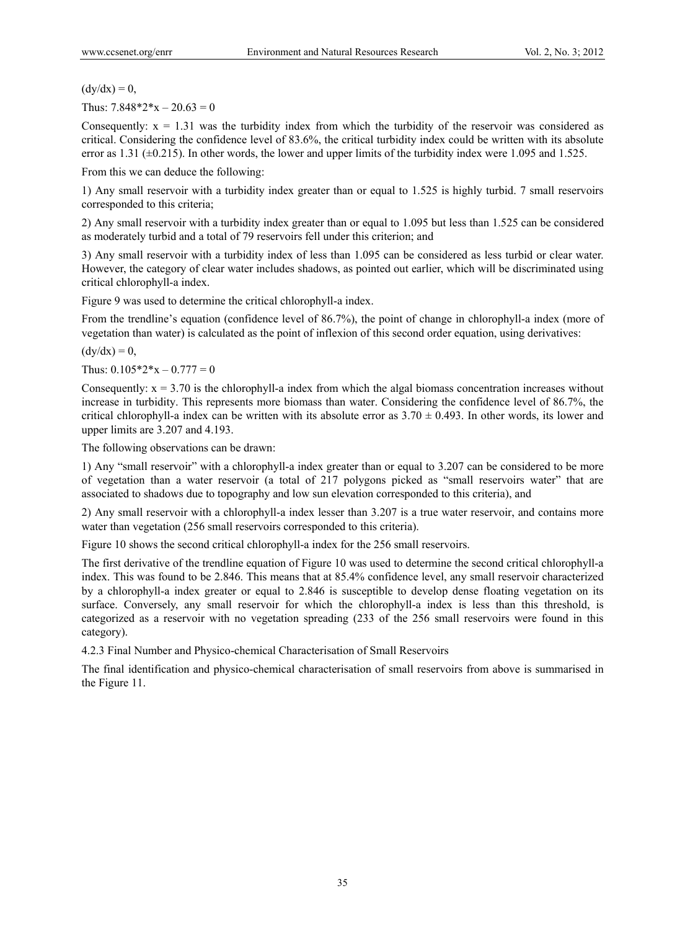$(dy/dx) = 0$ ,

Thus:  $7.848*2*x - 20.63 = 0$ 

Consequently:  $x = 1.31$  was the turbidity index from which the turbidity of the reservoir was considered as critical. Considering the confidence level of 83.6%, the critical turbidity index could be written with its absolute error as  $1.31$  ( $\pm 0.215$ ). In other words, the lower and upper limits of the turbidity index were 1.095 and 1.525.

From this we can deduce the following:

1) Any small reservoir with a turbidity index greater than or equal to 1.525 is highly turbid. 7 small reservoirs corresponded to this criteria;

2) Any small reservoir with a turbidity index greater than or equal to 1.095 but less than 1.525 can be considered as moderately turbid and a total of 79 reservoirs fell under this criterion; and

3) Any small reservoir with a turbidity index of less than 1.095 can be considered as less turbid or clear water. However, the category of clear water includes shadows, as pointed out earlier, which will be discriminated using critical chlorophyll-a index.

Figure 9 was used to determine the critical chlorophyll-a index.

From the trendline's equation (confidence level of 86.7%), the point of change in chlorophyll-a index (more of vegetation than water) is calculated as the point of inflexion of this second order equation, using derivatives:

 $(dy/dx) = 0$ ,

Thus:  $0.105*2*x - 0.777 = 0$ 

Consequently:  $x = 3.70$  is the chlorophyll-a index from which the algal biomass concentration increases without increase in turbidity. This represents more biomass than water. Considering the confidence level of 86.7%, the critical chlorophyll-a index can be written with its absolute error as  $3.70 \pm 0.493$ . In other words, its lower and upper limits are 3.207 and 4.193.

The following observations can be drawn:

1) Any "small reservoir" with a chlorophyll-a index greater than or equal to 3.207 can be considered to be more of vegetation than a water reservoir (a total of 217 polygons picked as "small reservoirs water" that are associated to shadows due to topography and low sun elevation corresponded to this criteria), and

2) Any small reservoir with a chlorophyll-a index lesser than 3.207 is a true water reservoir, and contains more water than vegetation (256 small reservoirs corresponded to this criteria).

Figure 10 shows the second critical chlorophyll-a index for the 256 small reservoirs.

The first derivative of the trendline equation of Figure 10 was used to determine the second critical chlorophyll-a index. This was found to be 2.846. This means that at 85.4% confidence level, any small reservoir characterized by a chlorophyll-a index greater or equal to 2.846 is susceptible to develop dense floating vegetation on its surface. Conversely, any small reservoir for which the chlorophyll-a index is less than this threshold, is categorized as a reservoir with no vegetation spreading (233 of the 256 small reservoirs were found in this category).

4.2.3 Final Number and Physico-chemical Characterisation of Small Reservoirs

The final identification and physico-chemical characterisation of small reservoirs from above is summarised in the Figure 11.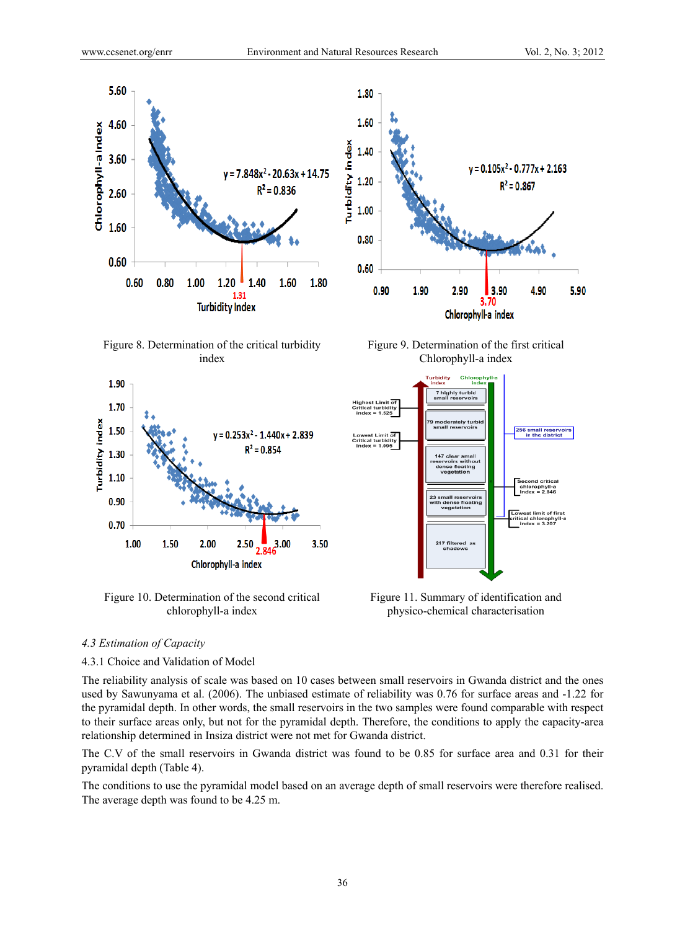

Figure 8. Determination of the critical turbidity index



Figure 10. Determination of the second critical chlorophyll-a index



Figure 9. Determination of the first critical Chlorophyll-a index



Figure 11. Summary of identification and physico-chemical characterisation

### *4.3 Estimation of Capacity*

## 4.3.1 Choice and Validation of Model

The reliability analysis of scale was based on 10 cases between small reservoirs in Gwanda district and the ones used by Sawunyama et al. (2006). The unbiased estimate of reliability was 0.76 for surface areas and -1.22 for the pyramidal depth. In other words, the small reservoirs in the two samples were found comparable with respect to their surface areas only, but not for the pyramidal depth. Therefore, the conditions to apply the capacity-area relationship determined in Insiza district were not met for Gwanda district.

The C.V of the small reservoirs in Gwanda district was found to be 0.85 for surface area and 0.31 for their pyramidal depth (Table 4).

The conditions to use the pyramidal model based on an average depth of small reservoirs were therefore realised. The average depth was found to be 4.25 m.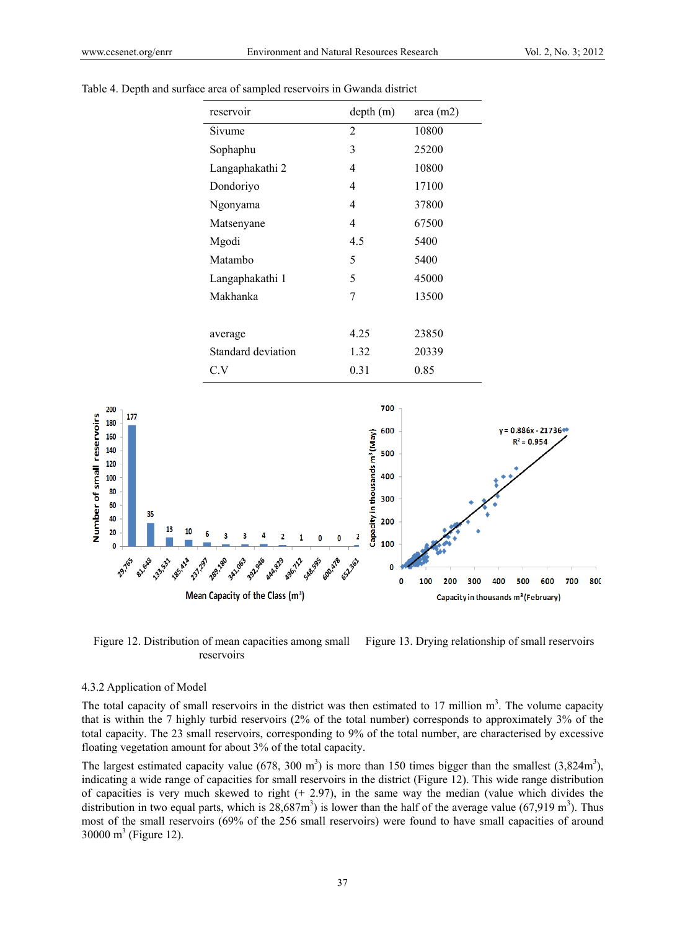

Table 4. Depth and surface area of sampled reservoirs in Gwanda district

Figure 12. Distribution of mean capacities among small reservoirs

Figure 13. Drying relationship of small reservoirs

#### 4.3.2 Application of Model

The total capacity of small reservoirs in the district was then estimated to 17 million  $m<sup>3</sup>$ . The volume capacity that is within the 7 highly turbid reservoirs (2% of the total number) corresponds to approximately 3% of the total capacity. The 23 small reservoirs, corresponding to 9% of the total number, are characterised by excessive floating vegetation amount for about 3% of the total capacity.

The largest estimated capacity value (678, 300 m<sup>3</sup>) is more than 150 times bigger than the smallest (3,824m<sup>3</sup>), indicating a wide range of capacities for small reservoirs in the district (Figure 12). This wide range distribution of capacities is very much skewed to right  $(+ 2.97)$ , in the same way the median (value which divides the distribution in two equal parts, which is  $28,687m^3$ ) is lower than the half of the average value (67,919 m<sup>3</sup>). Thus most of the small reservoirs (69% of the 256 small reservoirs) were found to have small capacities of around 30000 m<sup>3</sup> (Figure 12).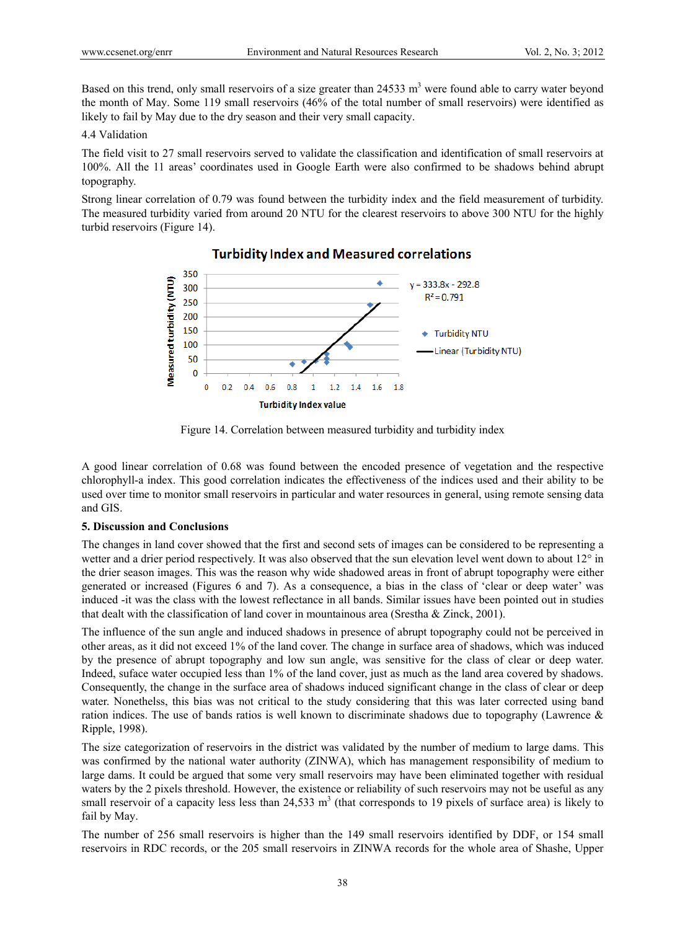Based on this trend, only small reservoirs of a size greater than 24533 m<sup>3</sup> were found able to carry water beyond the month of May. Some 119 small reservoirs (46% of the total number of small reservoirs) were identified as likely to fail by May due to the dry season and their very small capacity.

# 4.4 Validation

The field visit to 27 small reservoirs served to validate the classification and identification of small reservoirs at 100%. All the 11 areas' coordinates used in Google Earth were also confirmed to be shadows behind abrupt topography.

Strong linear correlation of 0.79 was found between the turbidity index and the field measurement of turbidity. The measured turbidity varied from around 20 NTU for the clearest reservoirs to above 300 NTU for the highly turbid reservoirs (Figure 14).



# **Turbidity Index and Measured correlations**

Figure 14. Correlation between measured turbidity and turbidity index

A good linear correlation of 0.68 was found between the encoded presence of vegetation and the respective chlorophyll-a index. This good correlation indicates the effectiveness of the indices used and their ability to be used over time to monitor small reservoirs in particular and water resources in general, using remote sensing data and GIS.

## **5. Discussion and Conclusions**

The changes in land cover showed that the first and second sets of images can be considered to be representing a wetter and a drier period respectively. It was also observed that the sun elevation level went down to about  $12^{\circ}$  in the drier season images. This was the reason why wide shadowed areas in front of abrupt topography were either generated or increased (Figures 6 and 7). As a consequence, a bias in the class of 'clear or deep water' was induced -it was the class with the lowest reflectance in all bands. Similar issues have been pointed out in studies that dealt with the classification of land cover in mountainous area (Srestha & Zinck, 2001).

The influence of the sun angle and induced shadows in presence of abrupt topography could not be perceived in other areas, as it did not exceed 1% of the land cover. The change in surface area of shadows, which was induced by the presence of abrupt topography and low sun angle, was sensitive for the class of clear or deep water. Indeed, suface water occupied less than 1% of the land cover, just as much as the land area covered by shadows. Consequently, the change in the surface area of shadows induced significant change in the class of clear or deep water. Nonethelss, this bias was not critical to the study considering that this was later corrected using band ration indices. The use of bands ratios is well known to discriminate shadows due to topography (Lawrence & Ripple, 1998).

The size categorization of reservoirs in the district was validated by the number of medium to large dams. This was confirmed by the national water authority (ZINWA), which has management responsibility of medium to large dams. It could be argued that some very small reservoirs may have been eliminated together with residual waters by the 2 pixels threshold. However, the existence or reliability of such reservoirs may not be useful as any small reservoir of a capacity less less than  $24,533 \text{ m}^3$  (that corresponds to 19 pixels of surface area) is likely to fail by May.

The number of 256 small reservoirs is higher than the 149 small reservoirs identified by DDF, or 154 small reservoirs in RDC records, or the 205 small reservoirs in ZINWA records for the whole area of Shashe, Upper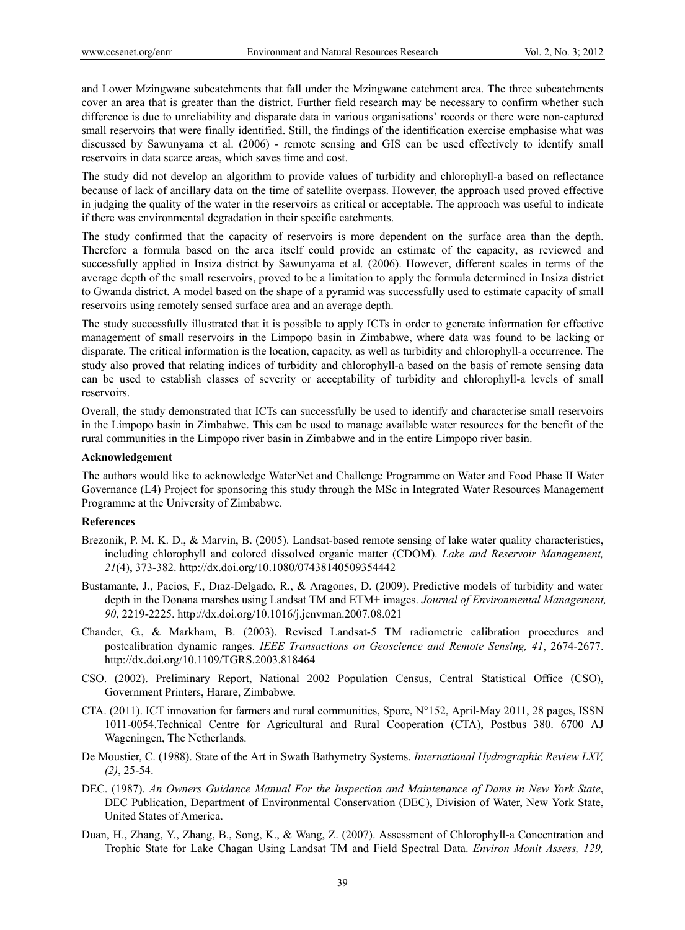and Lower Mzingwane subcatchments that fall under the Mzingwane catchment area. The three subcatchments cover an area that is greater than the district. Further field research may be necessary to confirm whether such difference is due to unreliability and disparate data in various organisations' records or there were non-captured small reservoirs that were finally identified. Still, the findings of the identification exercise emphasise what was discussed by Sawunyama et al. (2006) - remote sensing and GIS can be used effectively to identify small reservoirs in data scarce areas, which saves time and cost.

The study did not develop an algorithm to provide values of turbidity and chlorophyll-a based on reflectance because of lack of ancillary data on the time of satellite overpass. However, the approach used proved effective in judging the quality of the water in the reservoirs as critical or acceptable. The approach was useful to indicate if there was environmental degradation in their specific catchments.

The study confirmed that the capacity of reservoirs is more dependent on the surface area than the depth. Therefore a formula based on the area itself could provide an estimate of the capacity, as reviewed and successfully applied in Insiza district by Sawunyama et al*.* (2006). However, different scales in terms of the average depth of the small reservoirs, proved to be a limitation to apply the formula determined in Insiza district to Gwanda district. A model based on the shape of a pyramid was successfully used to estimate capacity of small reservoirs using remotely sensed surface area and an average depth.

The study successfully illustrated that it is possible to apply ICTs in order to generate information for effective management of small reservoirs in the Limpopo basin in Zimbabwe, where data was found to be lacking or disparate. The critical information is the location, capacity, as well as turbidity and chlorophyll-a occurrence. The study also proved that relating indices of turbidity and chlorophyll-a based on the basis of remote sensing data can be used to establish classes of severity or acceptability of turbidity and chlorophyll-a levels of small reservoirs.

Overall, the study demonstrated that ICTs can successfully be used to identify and characterise small reservoirs in the Limpopo basin in Zimbabwe. This can be used to manage available water resources for the benefit of the rural communities in the Limpopo river basin in Zimbabwe and in the entire Limpopo river basin.

## **Acknowledgement**

The authors would like to acknowledge WaterNet and Challenge Programme on Water and Food Phase II Water Governance (L4) Project for sponsoring this study through the MSc in Integrated Water Resources Management Programme at the University of Zimbabwe.

#### **References**

- Brezonik, P. M. K. D., & Marvin, B. (2005). Landsat-based remote sensing of lake water quality characteristics, including chlorophyll and colored dissolved organic matter (CDOM). *Lake and Reservoir Management, 21*(4), 373-382. http://dx.doi.org/10.1080/07438140509354442
- Bustamante, J., Pacios, F., Dıaz-Delgado, R., & Aragones, D. (2009). Predictive models of turbidity and water depth in the Donana marshes using Landsat TM and ETM+ images. *Journal of Environmental Management, 90*, 2219-2225. http://dx.doi.org/10.1016/j.jenvman.2007.08.021
- Chander, G., & Markham, B. (2003). Revised Landsat-5 TM radiometric calibration procedures and postcalibration dynamic ranges. *IEEE Transactions on Geoscience and Remote Sensing, 41*, 2674-2677. http://dx.doi.org/10.1109/TGRS.2003.818464
- CSO. (2002). Preliminary Report, National 2002 Population Census, Central Statistical Office (CSO), Government Printers, Harare, Zimbabwe.
- CTA. (2011). ICT innovation for farmers and rural communities, Spore, N°152, April-May 2011, 28 pages, ISSN 1011-0054.Technical Centre for Agricultural and Rural Cooperation (CTA), Postbus 380. 6700 AJ Wageningen, The Netherlands.
- De Moustier, C. (1988). State of the Art in Swath Bathymetry Systems. *International Hydrographic Review LXV, (2)*, 25-54.
- DEC. (1987). *An Owners Guidance Manual For the Inspection and Maintenance of Dams in New York State*, DEC Publication, Department of Environmental Conservation (DEC), Division of Water, New York State, United States of America.
- Duan, H., Zhang, Y., Zhang, B., Song, K., & Wang, Z. (2007). Assessment of Chlorophyll-a Concentration and Trophic State for Lake Chagan Using Landsat TM and Field Spectral Data. *Environ Monit Assess, 129,*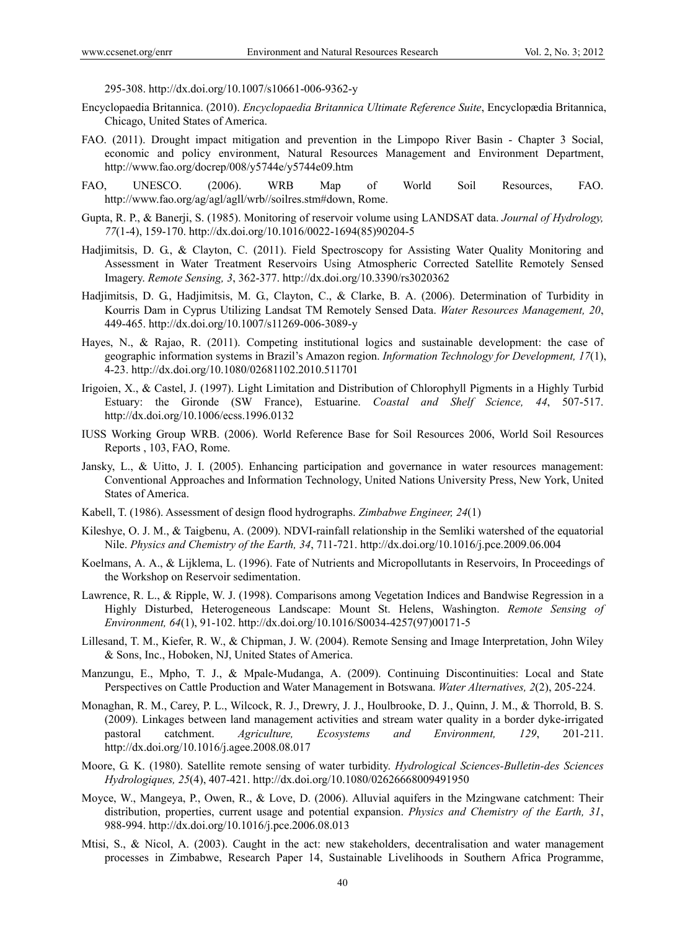295-308. http://dx.doi.org/10.1007/s10661-006-9362-y

- Encyclopaedia Britannica. (2010). *Encyclopaedia Britannica Ultimate Reference Suite*, Encyclopædia Britannica, Chicago, United States of America.
- FAO. (2011). Drought impact mitigation and prevention in the Limpopo River Basin Chapter 3 Social, economic and policy environment, Natural Resources Management and Environment Department, http://www.fao.org/docrep/008/y5744e/y5744e09.htm
- FAO, UNESCO. (2006). WRB Map of World Soil Resources, FAO. http://www.fao.org/ag/agl/agll/wrb//soilres.stm#down, Rome.
- Gupta, R. P., & Banerji, S. (1985). Monitoring of reservoir volume using LANDSAT data. *Journal of Hydrology, 77*(1-4), 159-170. http://dx.doi.org/10.1016/0022-1694(85)90204-5
- Hadjimitsis, D. G., & Clayton, C. (2011). Field Spectroscopy for Assisting Water Quality Monitoring and Assessment in Water Treatment Reservoirs Using Atmospheric Corrected Satellite Remotely Sensed Imagery. *Remote Sensing, 3*, 362-377. http://dx.doi.org/10.3390/rs3020362
- Hadjimitsis, D. G., Hadjimitsis, M. G., Clayton, C., & Clarke, B. A. (2006). Determination of Turbidity in Kourris Dam in Cyprus Utilizing Landsat TM Remotely Sensed Data. *Water Resources Management, 20*, 449-465. http://dx.doi.org/10.1007/s11269-006-3089-y
- Hayes, N., & Rajao, R. (2011). Competing institutional logics and sustainable development: the case of geographic information systems in Brazil's Amazon region. *Information Technology for Development, 17*(1), 4-23. http://dx.doi.org/10.1080/02681102.2010.511701
- Irigoien, X., & Castel, J. (1997). Light Limitation and Distribution of Chlorophyll Pigments in a Highly Turbid Estuary: the Gironde (SW France), Estuarine. *Coastal and Shelf Science, 44*, 507-517. http://dx.doi.org/10.1006/ecss.1996.0132
- IUSS Working Group WRB. (2006). World Reference Base for Soil Resources 2006, World Soil Resources Reports , 103, FAO, Rome.
- Jansky, L., & Uitto, J. I. (2005). Enhancing participation and governance in water resources management: Conventional Approaches and Information Technology, United Nations University Press, New York, United States of America.
- Kabell, T. (1986). Assessment of design flood hydrographs. *Zimbabwe Engineer, 24*(1)
- Kileshye, O. J. M., & Taigbenu, A. (2009). NDVI-rainfall relationship in the Semliki watershed of the equatorial Nile. *Physics and Chemistry of the Earth, 34*, 711-721. http://dx.doi.org/10.1016/j.pce.2009.06.004
- Koelmans, A. A., & Lijklema, L. (1996). Fate of Nutrients and Micropollutants in Reservoirs, In Proceedings of the Workshop on Reservoir sedimentation.
- Lawrence, R. L., & Ripple, W. J. (1998). Comparisons among Vegetation Indices and Bandwise Regression in a Highly Disturbed, Heterogeneous Landscape: Mount St. Helens, Washington. *Remote Sensing of Environment, 64*(1), 91-102. http://dx.doi.org/10.1016/S0034-4257(97)00171-5
- Lillesand, T. M., Kiefer, R. W., & Chipman, J. W. (2004). Remote Sensing and Image Interpretation, John Wiley & Sons, Inc., Hoboken, NJ, United States of America.
- Manzungu, E., Mpho, T. J., & Mpale-Mudanga, A. (2009). Continuing Discontinuities: Local and State Perspectives on Cattle Production and Water Management in Botswana. *Water Alternatives, 2*(2), 205-224.
- Monaghan, R. M., Carey, P. L., Wilcock, R. J., Drewry, J. J., Houlbrooke, D. J., Quinn, J. M., & Thorrold, B. S. (2009). Linkages between land management activities and stream water quality in a border dyke-irrigated pastoral catchment. *Agriculture, Ecosystems and Environment, 129*, 201-211. http://dx.doi.org/10.1016/j.agee.2008.08.017
- Moore, G. K. (1980). Satellite remote sensing of water turbidity. *Hydrological Sciences-Bulletin-des Sciences Hydrologiques, 25*(4), 407-421. http://dx.doi.org/10.1080/02626668009491950
- Moyce, W., Mangeya, P., Owen, R., & Love, D. (2006). Alluvial aquifers in the Mzingwane catchment: Their distribution, properties, current usage and potential expansion. *Physics and Chemistry of the Earth, 31*, 988-994. http://dx.doi.org/10.1016/j.pce.2006.08.013
- Mtisi, S., & Nicol, A. (2003). Caught in the act: new stakeholders, decentralisation and water management processes in Zimbabwe, Research Paper 14, Sustainable Livelihoods in Southern Africa Programme,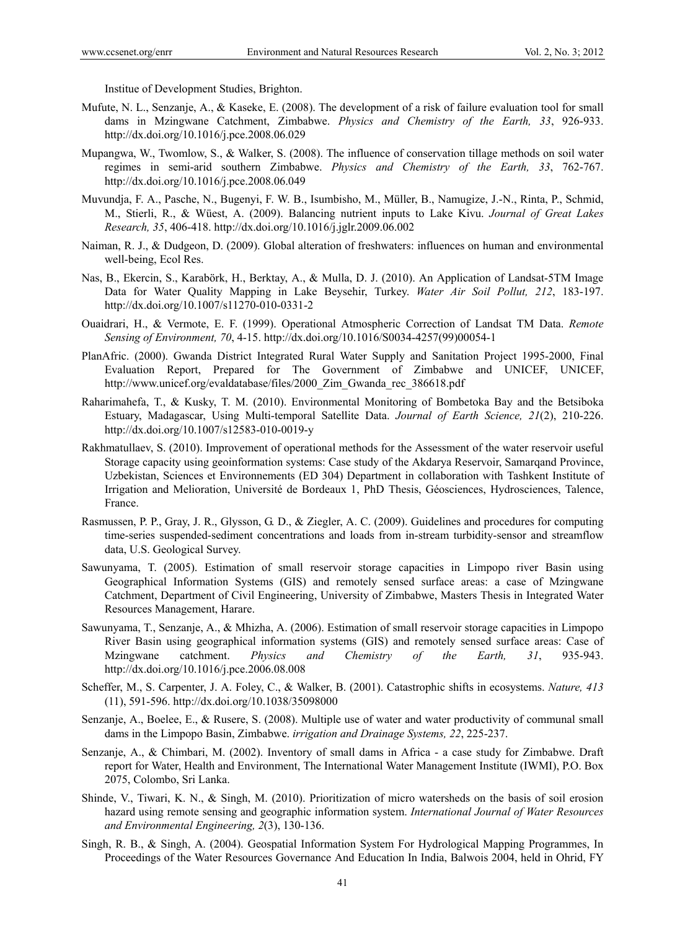Institue of Development Studies, Brighton.

- Mufute, N. L., Senzanje, A., & Kaseke, E. (2008). The development of a risk of failure evaluation tool for small dams in Mzingwane Catchment, Zimbabwe. *Physics and Chemistry of the Earth, 33*, 926-933. http://dx.doi.org/10.1016/j.pce.2008.06.029
- Mupangwa, W., Twomlow, S., & Walker, S. (2008). The influence of conservation tillage methods on soil water regimes in semi-arid southern Zimbabwe. *Physics and Chemistry of the Earth, 33*, 762-767. http://dx.doi.org/10.1016/j.pce.2008.06.049
- Muvundja, F. A., Pasche, N., Bugenyi, F. W. B., Isumbisho, M., Müller, B., Namugize, J.-N., Rinta, P., Schmid, M., Stierli, R., & Wüest, A. (2009). Balancing nutrient inputs to Lake Kivu. *Journal of Great Lakes Research, 35*, 406-418. http://dx.doi.org/10.1016/j.jglr.2009.06.002
- Naiman, R. J., & Dudgeon, D. (2009). Global alteration of freshwaters: influences on human and environmental well-being, Ecol Res.
- Nas, B., Ekercin, S., Karabörk, H., Berktay, A., & Mulla, D. J. (2010). An Application of Landsat-5TM Image Data for Water Quality Mapping in Lake Beysehir, Turkey. *Water Air Soil Pollut, 212*, 183-197. http://dx.doi.org/10.1007/s11270-010-0331-2
- Ouaidrari, H., & Vermote, E. F. (1999). Operational Atmospheric Correction of Landsat TM Data. *Remote Sensing of Environment, 70*, 4-15. http://dx.doi.org/10.1016/S0034-4257(99)00054-1
- PlanAfric. (2000). Gwanda District Integrated Rural Water Supply and Sanitation Project 1995-2000, Final Evaluation Report, Prepared for The Government of Zimbabwe and UNICEF, UNICEF, http://www.unicef.org/evaldatabase/files/2000\_Zim\_Gwanda\_rec\_386618.pdf
- Raharimahefa, T., & Kusky, T. M. (2010). Environmental Monitoring of Bombetoka Bay and the Betsiboka Estuary, Madagascar, Using Multi-temporal Satellite Data. *Journal of Earth Science, 21*(2), 210-226. http://dx.doi.org/10.1007/s12583-010-0019-y
- Rakhmatullaev, S. (2010). Improvement of operational methods for the Assessment of the water reservoir useful Storage capacity using geoinformation systems: Case study of the Akdarya Reservoir, Samarqand Province, Uzbekistan, Sciences et Environnements (ED 304) Department in collaboration with Tashkent Institute of Irrigation and Melioration, Université de Bordeaux 1, PhD Thesis, Géosciences, Hydrosciences, Talence, France.
- Rasmussen, P. P., Gray, J. R., Glysson, G. D., & Ziegler, A. C. (2009). Guidelines and procedures for computing time-series suspended-sediment concentrations and loads from in-stream turbidity-sensor and streamflow data, U.S. Geological Survey.
- Sawunyama, T. (2005). Estimation of small reservoir storage capacities in Limpopo river Basin using Geographical Information Systems (GIS) and remotely sensed surface areas: a case of Mzingwane Catchment, Department of Civil Engineering, University of Zimbabwe, Masters Thesis in Integrated Water Resources Management, Harare.
- Sawunyama, T., Senzanje, A., & Mhizha, A. (2006). Estimation of small reservoir storage capacities in Limpopo River Basin using geographical information systems (GIS) and remotely sensed surface areas: Case of Mzingwane catchment. *Physics and Chemistry of the Earth, 31*, 935-943. http://dx.doi.org/10.1016/j.pce.2006.08.008
- Scheffer, M., S. Carpenter, J. A. Foley, C., & Walker, B. (2001). Catastrophic shifts in ecosystems. *Nature, 413* (11), 591-596. http://dx.doi.org/10.1038/35098000
- Senzanje, A., Boelee, E., & Rusere, S. (2008). Multiple use of water and water productivity of communal small dams in the Limpopo Basin, Zimbabwe. *irrigation and Drainage Systems, 22*, 225-237.
- Senzanje, A., & Chimbari, M. (2002). Inventory of small dams in Africa a case study for Zimbabwe. Draft report for Water, Health and Environment, The International Water Management Institute (IWMI), P.O. Box 2075, Colombo, Sri Lanka.
- Shinde, V., Tiwari, K. N., & Singh, M. (2010). Prioritization of micro watersheds on the basis of soil erosion hazard using remote sensing and geographic information system. *International Journal of Water Resources and Environmental Engineering, 2*(3), 130-136.
- Singh, R. B., & Singh, A. (2004). Geospatial Information System For Hydrological Mapping Programmes, In Proceedings of the Water Resources Governance And Education In India, Balwois 2004, held in Ohrid, FY